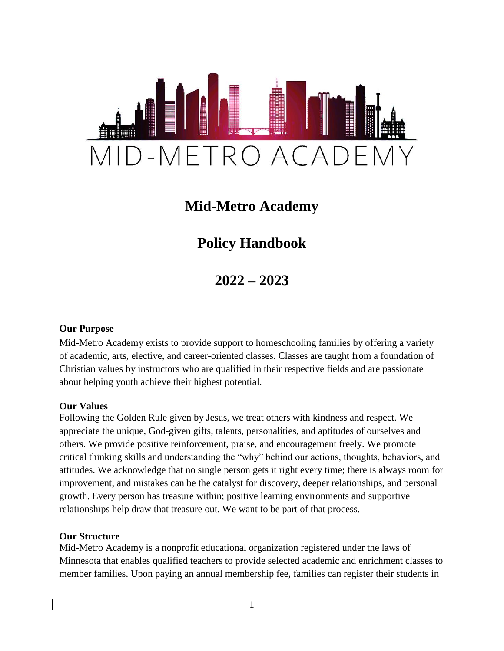

## **Mid-Metro Academy**

# **Policy Handbook**

**2022 – 2023**

## **Our Purpose**

Mid-Metro Academy exists to provide support to homeschooling families by offering a variety of academic, arts, elective, and career-oriented classes. Classes are taught from a foundation of Christian values by instructors who are qualified in their respective fields and are passionate about helping youth achieve their highest potential.

#### **Our Values**

Following the Golden Rule given by Jesus, we treat others with kindness and respect. We appreciate the unique, God-given gifts, talents, personalities, and aptitudes of ourselves and others. We provide positive reinforcement, praise, and encouragement freely. We promote critical thinking skills and understanding the "why" behind our actions, thoughts, behaviors, and attitudes. We acknowledge that no single person gets it right every time; there is always room for improvement, and mistakes can be the catalyst for discovery, deeper relationships, and personal growth. Every person has treasure within; positive learning environments and supportive relationships help draw that treasure out. We want to be part of that process.

#### **Our Structure**

Mid-Metro Academy is a nonprofit educational organization registered under the laws of Minnesota that enables qualified teachers to provide selected academic and enrichment classes to member families. Upon paying an annual membership fee, families can register their students in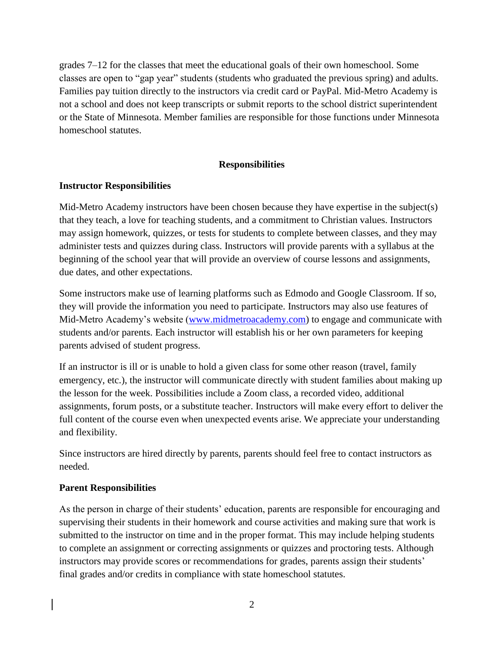grades 7–12 for the classes that meet the educational goals of their own homeschool. Some classes are open to "gap year" students (students who graduated the previous spring) and adults. Families pay tuition directly to the instructors via credit card or PayPal. Mid-Metro Academy is not a school and does not keep transcripts or submit reports to the school district superintendent or the State of Minnesota. Member families are responsible for those functions under Minnesota homeschool statutes.

#### **Responsibilities**

#### **Instructor Responsibilities**

Mid-Metro Academy instructors have been chosen because they have expertise in the subject(s) that they teach, a love for teaching students, and a commitment to Christian values. Instructors may assign homework, quizzes, or tests for students to complete between classes, and they may administer tests and quizzes during class. Instructors will provide parents with a syllabus at the beginning of the school year that will provide an overview of course lessons and assignments, due dates, and other expectations.

Some instructors make use of learning platforms such as Edmodo and Google Classroom. If so, they will provide the information you need to participate. Instructors may also use features of Mid-Metro Academy's website [\(www.midmetroacademy.com\)](http://www.midmetroacademy.com/) to engage and communicate with students and/or parents. Each instructor will establish his or her own parameters for keeping parents advised of student progress.

If an instructor is ill or is unable to hold a given class for some other reason (travel, family emergency, etc.), the instructor will communicate directly with student families about making up the lesson for the week. Possibilities include a Zoom class, a recorded video, additional assignments, forum posts, or a substitute teacher. Instructors will make every effort to deliver the full content of the course even when unexpected events arise. We appreciate your understanding and flexibility.

Since instructors are hired directly by parents, parents should feel free to contact instructors as needed.

#### **Parent Responsibilities**

As the person in charge of their students' education, parents are responsible for encouraging and supervising their students in their homework and course activities and making sure that work is submitted to the instructor on time and in the proper format. This may include helping students to complete an assignment or correcting assignments or quizzes and proctoring tests. Although instructors may provide scores or recommendations for grades, parents assign their students' final grades and/or credits in compliance with state homeschool statutes.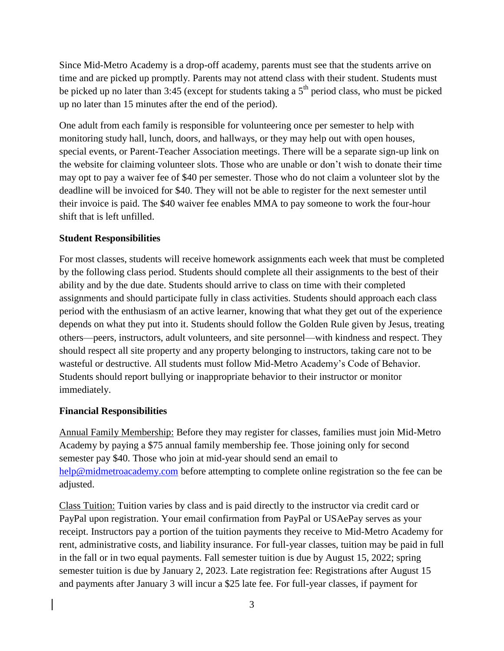Since Mid-Metro Academy is a drop-off academy, parents must see that the students arrive on time and are picked up promptly. Parents may not attend class with their student. Students must be picked up no later than 3:45 (except for students taking a  $5<sup>th</sup>$  period class, who must be picked up no later than 15 minutes after the end of the period).

One adult from each family is responsible for volunteering once per semester to help with monitoring study hall, lunch, doors, and hallways, or they may help out with open houses, special events, or Parent-Teacher Association meetings. There will be a separate sign-up link on the website for claiming volunteer slots. Those who are unable or don't wish to donate their time may opt to pay a waiver fee of \$40 per semester. Those who do not claim a volunteer slot by the deadline will be invoiced for \$40. They will not be able to register for the next semester until their invoice is paid. The \$40 waiver fee enables MMA to pay someone to work the four-hour shift that is left unfilled.

## **Student Responsibilities**

For most classes, students will receive homework assignments each week that must be completed by the following class period. Students should complete all their assignments to the best of their ability and by the due date. Students should arrive to class on time with their completed assignments and should participate fully in class activities. Students should approach each class period with the enthusiasm of an active learner, knowing that what they get out of the experience depends on what they put into it. Students should follow the Golden Rule given by Jesus, treating others—peers, instructors, adult volunteers, and site personnel—with kindness and respect. They should respect all site property and any property belonging to instructors, taking care not to be wasteful or destructive. All students must follow Mid-Metro Academy's Code of Behavior. Students should report bullying or inappropriate behavior to their instructor or monitor immediately.

#### **Financial Responsibilities**

Annual Family Membership: Before they may register for classes, families must join Mid-Metro Academy by paying a \$75 annual family membership fee. Those joining only for second semester pay \$40. Those who join at mid-year should send an email to [help@midmetroacademy.com](mailto:help@midmetroacademy.com) before attempting to complete online registration so the fee can be adjusted.

Class Tuition: Tuition varies by class and is paid directly to the instructor via credit card or PayPal upon registration. Your email confirmation from PayPal or USAePay serves as your receipt. Instructors pay a portion of the tuition payments they receive to Mid-Metro Academy for rent, administrative costs, and liability insurance. For full-year classes, tuition may be paid in full in the fall or in two equal payments. Fall semester tuition is due by August 15, 2022; spring semester tuition is due by January 2, 2023. Late registration fee: Registrations after August 15 and payments after January 3 will incur a \$25 late fee. For full-year classes, if payment for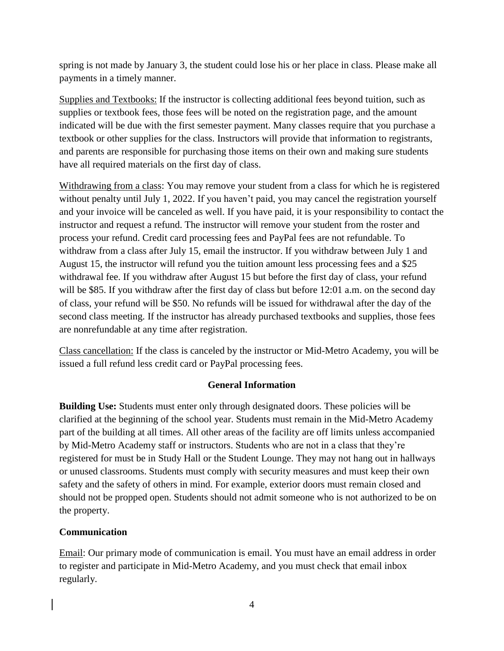spring is not made by January 3, the student could lose his or her place in class. Please make all payments in a timely manner.

Supplies and Textbooks: If the instructor is collecting additional fees beyond tuition, such as supplies or textbook fees, those fees will be noted on the registration page, and the amount indicated will be due with the first semester payment. Many classes require that you purchase a textbook or other supplies for the class. Instructors will provide that information to registrants, and parents are responsible for purchasing those items on their own and making sure students have all required materials on the first day of class.

Withdrawing from a class: You may remove your student from a class for which he is registered without penalty until July 1, 2022. If you haven't paid, you may cancel the registration yourself and your invoice will be canceled as well. If you have paid, it is your responsibility to contact the instructor and request a refund. The instructor will remove your student from the roster and process your refund. Credit card processing fees and PayPal fees are not refundable. To withdraw from a class after July 15, email the instructor. If you withdraw between July 1 and August 15, the instructor will refund you the tuition amount less processing fees and a \$25 withdrawal fee. If you withdraw after August 15 but before the first day of class, your refund will be \$85. If you withdraw after the first day of class but before 12:01 a.m. on the second day of class, your refund will be \$50. No refunds will be issued for withdrawal after the day of the second class meeting. If the instructor has already purchased textbooks and supplies, those fees are nonrefundable at any time after registration.

Class cancellation: If the class is canceled by the instructor or Mid-Metro Academy, you will be issued a full refund less credit card or PayPal processing fees.

## **General Information**

**Building Use:** Students must enter only through designated doors. These policies will be clarified at the beginning of the school year. Students must remain in the Mid-Metro Academy part of the building at all times. All other areas of the facility are off limits unless accompanied by Mid-Metro Academy staff or instructors. Students who are not in a class that they're registered for must be in Study Hall or the Student Lounge. They may not hang out in hallways or unused classrooms. Students must comply with security measures and must keep their own safety and the safety of others in mind. For example, exterior doors must remain closed and should not be propped open. Students should not admit someone who is not authorized to be on the property.

#### **Communication**

Email: Our primary mode of communication is email. You must have an email address in order to register and participate in Mid-Metro Academy, and you must check that email inbox regularly.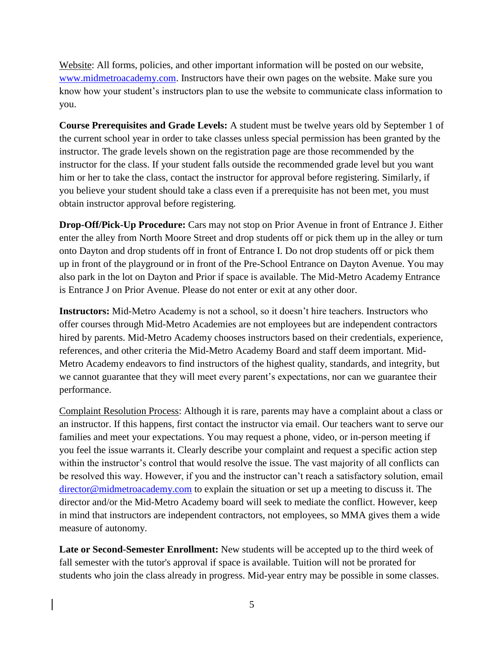Website: All forms, policies, and other important information will be posted on our website, [www.midmetroacademy.com.](http://www.midmetroacademy.com/) Instructors have their own pages on the website. Make sure you know how your student's instructors plan to use the website to communicate class information to you.

**Course Prerequisites and Grade Levels:** A student must be twelve years old by September 1 of the current school year in order to take classes unless special permission has been granted by the instructor. The grade levels shown on the registration page are those recommended by the instructor for the class. If your student falls outside the recommended grade level but you want him or her to take the class, contact the instructor for approval before registering. Similarly, if you believe your student should take a class even if a prerequisite has not been met, you must obtain instructor approval before registering.

**Drop-Off/Pick-Up Procedure:** Cars may not stop on Prior Avenue in front of Entrance J. Either enter the alley from North Moore Street and drop students off or pick them up in the alley or turn onto Dayton and drop students off in front of Entrance I. Do not drop students off or pick them up in front of the playground or in front of the Pre-School Entrance on Dayton Avenue. You may also park in the lot on Dayton and Prior if space is available. The Mid-Metro Academy Entrance is Entrance J on Prior Avenue. Please do not enter or exit at any other door.

**Instructors:** Mid-Metro Academy is not a school, so it doesn't hire teachers. Instructors who offer courses through Mid-Metro Academies are not employees but are independent contractors hired by parents. Mid-Metro Academy chooses instructors based on their credentials, experience, references, and other criteria the Mid-Metro Academy Board and staff deem important. Mid-Metro Academy endeavors to find instructors of the highest quality, standards, and integrity, but we cannot guarantee that they will meet every parent's expectations, nor can we guarantee their performance.

Complaint Resolution Process: Although it is rare, parents may have a complaint about a class or an instructor. If this happens, first contact the instructor via email. Our teachers want to serve our families and meet your expectations. You may request a phone, video, or in-person meeting if you feel the issue warrants it. Clearly describe your complaint and request a specific action step within the instructor's control that would resolve the issue. The vast majority of all conflicts can be resolved this way. However, if you and the instructor can't reach a satisfactory solution, email [director@midmetroacademy.com](mailto:director@midmetroacademy.com) to explain the situation or set up a meeting to discuss it. The director and/or the Mid-Metro Academy board will seek to mediate the conflict. However, keep in mind that instructors are independent contractors, not employees, so MMA gives them a wide measure of autonomy.

**Late or Second-Semester Enrollment:** New students will be accepted up to the third week of fall semester with the tutor's approval if space is available. Tuition will not be prorated for students who join the class already in progress. Mid-year entry may be possible in some classes.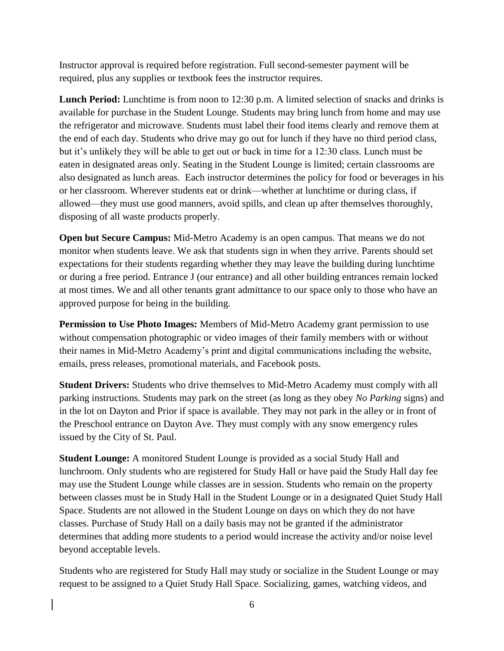Instructor approval is required before registration. Full second-semester payment will be required, plus any supplies or textbook fees the instructor requires.

Lunch Period: Lunchtime is from noon to 12:30 p.m. A limited selection of snacks and drinks is available for purchase in the Student Lounge. Students may bring lunch from home and may use the refrigerator and microwave. Students must label their food items clearly and remove them at the end of each day. Students who drive may go out for lunch if they have no third period class, but it's unlikely they will be able to get out or back in time for a 12:30 class. Lunch must be eaten in designated areas only. Seating in the Student Lounge is limited; certain classrooms are also designated as lunch areas. Each instructor determines the policy for food or beverages in his or her classroom. Wherever students eat or drink—whether at lunchtime or during class, if allowed—they must use good manners, avoid spills, and clean up after themselves thoroughly, disposing of all waste products properly.

**Open but Secure Campus:** Mid-Metro Academy is an open campus. That means we do not monitor when students leave. We ask that students sign in when they arrive. Parents should set expectations for their students regarding whether they may leave the building during lunchtime or during a free period. Entrance J (our entrance) and all other building entrances remain locked at most times. We and all other tenants grant admittance to our space only to those who have an approved purpose for being in the building.

**Permission to Use Photo Images:** Members of Mid-Metro Academy grant permission to use without compensation photographic or video images of their family members with or without their names in Mid-Metro Academy's print and digital communications including the website, emails, press releases, promotional materials, and Facebook posts.

**Student Drivers:** Students who drive themselves to Mid-Metro Academy must comply with all parking instructions. Students may park on the street (as long as they obey *No Parking* signs) and in the lot on Dayton and Prior if space is available. They may not park in the alley or in front of the Preschool entrance on Dayton Ave. They must comply with any snow emergency rules issued by the City of St. Paul.

**Student Lounge:** A monitored Student Lounge is provided as a social Study Hall and lunchroom. Only students who are registered for Study Hall or have paid the Study Hall day fee may use the Student Lounge while classes are in session. Students who remain on the property between classes must be in Study Hall in the Student Lounge or in a designated Quiet Study Hall Space. Students are not allowed in the Student Lounge on days on which they do not have classes. Purchase of Study Hall on a daily basis may not be granted if the administrator determines that adding more students to a period would increase the activity and/or noise level beyond acceptable levels.

Students who are registered for Study Hall may study or socialize in the Student Lounge or may request to be assigned to a Quiet Study Hall Space. Socializing, games, watching videos, and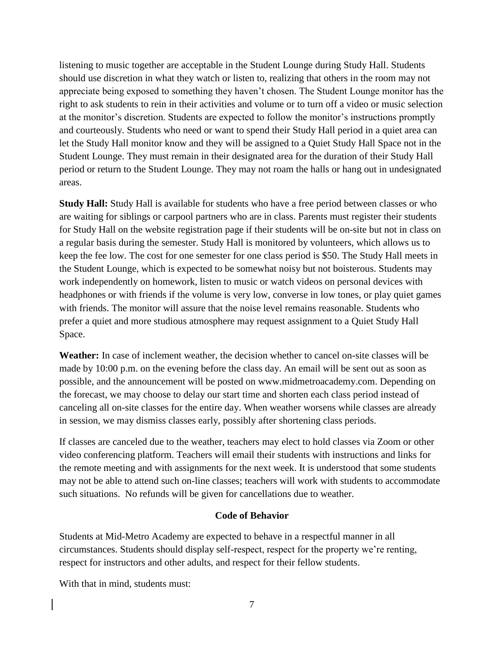listening to music together are acceptable in the Student Lounge during Study Hall. Students should use discretion in what they watch or listen to, realizing that others in the room may not appreciate being exposed to something they haven't chosen. The Student Lounge monitor has the right to ask students to rein in their activities and volume or to turn off a video or music selection at the monitor's discretion. Students are expected to follow the monitor's instructions promptly and courteously. Students who need or want to spend their Study Hall period in a quiet area can let the Study Hall monitor know and they will be assigned to a Quiet Study Hall Space not in the Student Lounge. They must remain in their designated area for the duration of their Study Hall period or return to the Student Lounge. They may not roam the halls or hang out in undesignated areas.

**Study Hall:** Study Hall is available for students who have a free period between classes or who are waiting for siblings or carpool partners who are in class. Parents must register their students for Study Hall on the website registration page if their students will be on-site but not in class on a regular basis during the semester. Study Hall is monitored by volunteers, which allows us to keep the fee low. The cost for one semester for one class period is \$50. The Study Hall meets in the Student Lounge, which is expected to be somewhat noisy but not boisterous. Students may work independently on homework, listen to music or watch videos on personal devices with headphones or with friends if the volume is very low, converse in low tones, or play quiet games with friends. The monitor will assure that the noise level remains reasonable. Students who prefer a quiet and more studious atmosphere may request assignment to a Quiet Study Hall Space.

**Weather:** In case of inclement weather, the decision whether to cancel on-site classes will be made by 10:00 p.m. on the evening before the class day. An email will be sent out as soon as possible, and the announcement will be posted on www.midmetroacademy.com. Depending on the forecast, we may choose to delay our start time and shorten each class period instead of canceling all on-site classes for the entire day. When weather worsens while classes are already in session, we may dismiss classes early, possibly after shortening class periods.

If classes are canceled due to the weather, teachers may elect to hold classes via Zoom or other video conferencing platform. Teachers will email their students with instructions and links for the remote meeting and with assignments for the next week. It is understood that some students may not be able to attend such on-line classes; teachers will work with students to accommodate such situations. No refunds will be given for cancellations due to weather.

#### **Code of Behavior**

Students at Mid-Metro Academy are expected to behave in a respectful manner in all circumstances. Students should display self-respect, respect for the property we're renting, respect for instructors and other adults, and respect for their fellow students.

With that in mind, students must: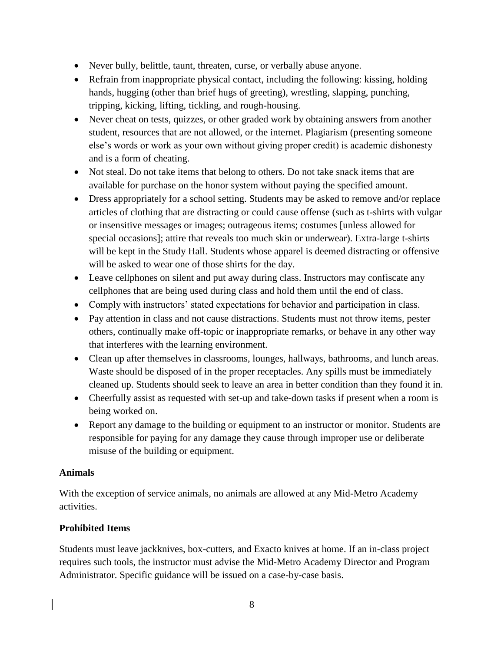- Never bully, belittle, taunt, threaten, curse, or verbally abuse anyone.
- Refrain from inappropriate physical contact, including the following: kissing, holding hands, hugging (other than brief hugs of greeting), wrestling, slapping, punching, tripping, kicking, lifting, tickling, and rough-housing.
- Never cheat on tests, quizzes, or other graded work by obtaining answers from another student, resources that are not allowed, or the internet. Plagiarism (presenting someone else's words or work as your own without giving proper credit) is academic dishonesty and is a form of cheating.
- Not steal. Do not take items that belong to others. Do not take snack items that are available for purchase on the honor system without paying the specified amount.
- Dress appropriately for a school setting. Students may be asked to remove and/or replace articles of clothing that are distracting or could cause offense (such as t-shirts with vulgar or insensitive messages or images; outrageous items; costumes [unless allowed for special occasions]; attire that reveals too much skin or underwear). Extra-large t-shirts will be kept in the Study Hall. Students whose apparel is deemed distracting or offensive will be asked to wear one of those shirts for the day.
- Leave cellphones on silent and put away during class. Instructors may confiscate any cellphones that are being used during class and hold them until the end of class.
- Comply with instructors' stated expectations for behavior and participation in class.
- Pay attention in class and not cause distractions. Students must not throw items, pester others, continually make off-topic or inappropriate remarks, or behave in any other way that interferes with the learning environment.
- Clean up after themselves in classrooms, lounges, hallways, bathrooms, and lunch areas. Waste should be disposed of in the proper receptacles. Any spills must be immediately cleaned up. Students should seek to leave an area in better condition than they found it in.
- Cheerfully assist as requested with set-up and take-down tasks if present when a room is being worked on.
- Report any damage to the building or equipment to an instructor or monitor. Students are responsible for paying for any damage they cause through improper use or deliberate misuse of the building or equipment.

## **Animals**

With the exception of service animals, no animals are allowed at any Mid-Metro Academy activities.

## **Prohibited Items**

Students must leave jackknives, box-cutters, and Exacto knives at home. If an in-class project requires such tools, the instructor must advise the Mid-Metro Academy Director and Program Administrator. Specific guidance will be issued on a case-by-case basis.